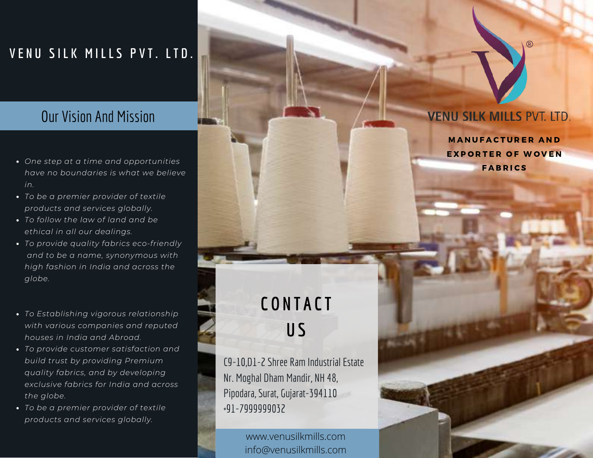### **V E N U S I L K M I L L S P V T . L T D .**

## Our Vision And Mission

- *One step at a time and opportunities have no boundaries is what we believe in.*
- *To be a premier provider of textile products and services globally.*
- *To follow the law of land and be ethical in all our dealings.*
- *To provide quality fabrics eco-friendly and to be a name, synonymous with high fashion in India and across the globe.*
- *To Establishing vigorous relationship with various companies and reputed houses in India and Abroad.*
- *To provide customer satisfaction and build trust by providing Premium quality fabrics, and by developing exclusive fabrics for India and across the globe.*
- *To be a premier provider of textile products and services globally.*

# **C O N T A C T U S**

C9-10,D1-2 Shree Ram Industrial Estate Nr. Moghal Dham Mandir, NH 48, Pipodara, Surat, Gujarat-394110 +91-7999999032

www.venusilkmills.com info@venusilkmills.com

#### **VENU SILK MILLS PVT. LTD.**

**MANUFACTURER AND** EXPORTER OF WOVEN **FABRICS**